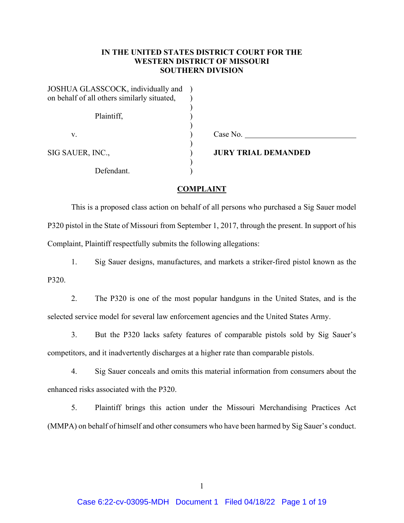# **IN THE UNITED STATES DISTRICT COURT FOR THE WESTERN DISTRICT OF MISSOURI SOUTHERN DIVISION**

| JOSHUA GLASSCOCK, individually and<br>on behalf of all others similarly situated, |                            |
|-----------------------------------------------------------------------------------|----------------------------|
| Plaintiff,                                                                        |                            |
| v.                                                                                | Case No.                   |
| SIG SAUER, INC.,                                                                  | <b>JURY TRIAL DEMANDED</b> |
| Defendant.                                                                        |                            |

### **COMPLAINT**

This is a proposed class action on behalf of all persons who purchased a Sig Sauer model P320 pistol in the State of Missouri from September 1, 2017, through the present. In support of his Complaint, Plaintiff respectfully submits the following allegations:

1. Sig Sauer designs, manufactures, and markets a striker-fired pistol known as the P320.

2. The P320 is one of the most popular handguns in the United States, and is the selected service model for several law enforcement agencies and the United States Army.

3. But the P320 lacks safety features of comparable pistols sold by Sig Sauer's competitors, and it inadvertently discharges at a higher rate than comparable pistols.

4. Sig Sauer conceals and omits this material information from consumers about the enhanced risks associated with the P320.

5. Plaintiff brings this action under the Missouri Merchandising Practices Act (MMPA) on behalf of himself and other consumers who have been harmed by Sig Sauer's conduct.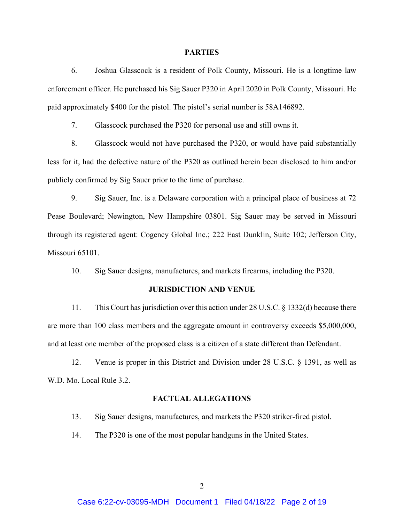#### **PARTIES**

6. Joshua Glasscock is a resident of Polk County, Missouri. He is a longtime law enforcement officer. He purchased his Sig Sauer P320 in April 2020 in Polk County, Missouri. He paid approximately \$400 for the pistol. The pistol's serial number is 58A146892.

7. Glasscock purchased the P320 for personal use and still owns it.

8. Glasscock would not have purchased the P320, or would have paid substantially less for it, had the defective nature of the P320 as outlined herein been disclosed to him and/or publicly confirmed by Sig Sauer prior to the time of purchase.

9. Sig Sauer, Inc. is a Delaware corporation with a principal place of business at 72 Pease Boulevard; Newington, New Hampshire 03801. Sig Sauer may be served in Missouri through its registered agent: Cogency Global Inc.; 222 East Dunklin, Suite 102; Jefferson City, Missouri 65101.

10. Sig Sauer designs, manufactures, and markets firearms, including the P320.

### **JURISDICTION AND VENUE**

11. This Court has jurisdiction over this action under 28 U.S.C. § 1332(d) because there are more than 100 class members and the aggregate amount in controversy exceeds \$5,000,000, and at least one member of the proposed class is a citizen of a state different than Defendant.

12. Venue is proper in this District and Division under 28 U.S.C. § 1391, as well as W.D. Mo. Local Rule 3.2.

### **FACTUAL ALLEGATIONS**

- 13. Sig Sauer designs, manufactures, and markets the P320 striker-fired pistol.
- 14. The P320 is one of the most popular handguns in the United States.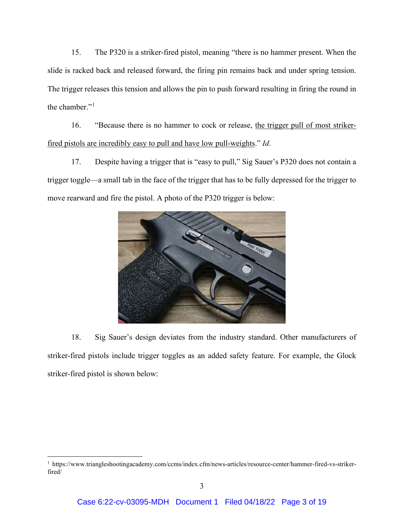15. The P320 is a striker-fired pistol, meaning "there is no hammer present. When the slide is racked back and released forward, the firing pin remains back and under spring tension. The trigger releases this tension and allows the pin to push forward resulting in firing the round in the chamber." $1$ 

16. "Because there is no hammer to cock or release, the trigger pull of most strikerfired pistols are incredibly easy to pull and have low pull-weights." *Id.*

17. Despite having a trigger that is "easy to pull," Sig Sauer's P320 does not contain a trigger toggle—a small tab in the face of the trigger that has to be fully depressed for the trigger to move rearward and fire the pistol. A photo of the P320 trigger is below:



18. Sig Sauer's design deviates from the industry standard. Other manufacturers of striker-fired pistols include trigger toggles as an added safety feature. For example, the Glock striker-fired pistol is shown below:

<span id="page-2-0"></span><sup>1</sup> https://www.triangleshootingacademy.com/ccms/index.cfm/news-articles/resource-center/hammer-fired-vs-strikerfired/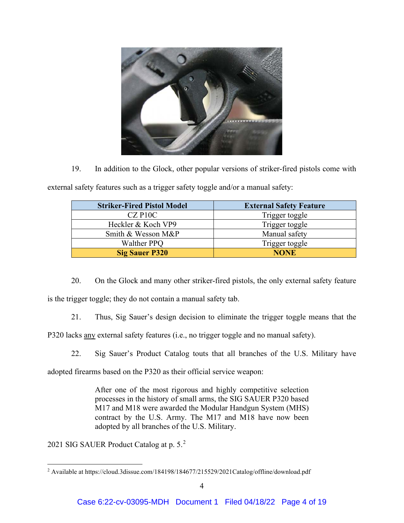

19. In addition to the Glock, other popular versions of striker-fired pistols come with

| <b>Striker-Fired Pistol Model</b> | <b>External Safety Feature</b> |  |  |
|-----------------------------------|--------------------------------|--|--|
| $CZ$ P <sub>10</sub> $C$          | Trigger toggle                 |  |  |
| Heckler & Koch VP9                | Trigger toggle                 |  |  |
| Smith & Wesson M&P                | Manual safety                  |  |  |
| <b>Walther PPQ</b>                | Trigger toggle                 |  |  |
| <b>Sig Sauer P320</b>             | <b>NONE</b>                    |  |  |

external safety features such as a trigger safety toggle and/or a manual safety:

20. On the Glock and many other striker-fired pistols, the only external safety feature is the trigger toggle; they do not contain a manual safety tab.

21. Thus, Sig Sauer's design decision to eliminate the trigger toggle means that the

P320 lacks any external safety features (i.e., no trigger toggle and no manual safety).

22. Sig Sauer's Product Catalog touts that all branches of the U.S. Military have

adopted firearms based on the P320 as their official service weapon:

After one of the most rigorous and highly competitive selection processes in the history of small arms, the SIG SAUER P320 based M17 and M18 were awarded the Modular Handgun System (MHS) contract by the U.S. Army. The M17 and M18 have now been adopted by all branches of the U.S. Military.

2021 SIG SAUER Product Catalog at p. 5.[2](#page-3-0)

<span id="page-3-0"></span><sup>2</sup> Available at https://cloud.3dissue.com/184198/184677/215529/2021Catalog/offline/download.pdf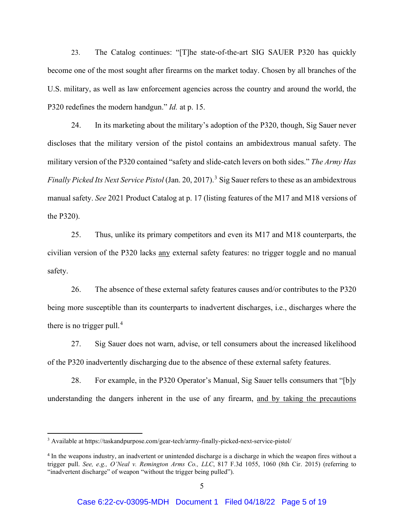23. The Catalog continues: "[T]he state-of-the-art SIG SAUER P320 has quickly become one of the most sought after firearms on the market today. Chosen by all branches of the U.S. military, as well as law enforcement agencies across the country and around the world, the P320 redefines the modern handgun." *Id.* at p. 15.

24. In its marketing about the military's adoption of the P320, though, Sig Sauer never discloses that the military version of the pistol contains an ambidextrous manual safety. The military version of the P320 contained "safety and slide-catch levers on both sides." *The Army Has Finally Picked Its Next Service Pistol* (Jan. 20, 2017). [3](#page-4-0) Sig Sauer refers to these as an ambidextrous manual safety. *See* 2021 Product Catalog at p. 17 (listing features of the M17 and M18 versions of the P320).

25. Thus, unlike its primary competitors and even its M17 and M18 counterparts, the civilian version of the P320 lacks any external safety features: no trigger toggle and no manual safety.

26. The absence of these external safety features causes and/or contributes to the P320 being more susceptible than its counterparts to inadvertent discharges, i.e., discharges where the there is no trigger pull. $4$ 

27. Sig Sauer does not warn, advise, or tell consumers about the increased likelihood of the P320 inadvertently discharging due to the absence of these external safety features.

28. For example, in the P320 Operator's Manual, Sig Sauer tells consumers that "[b]y understanding the dangers inherent in the use of any firearm, and by taking the precautions

<span id="page-4-0"></span><sup>3</sup> Available at https://taskandpurpose.com/gear-tech/army-finally-picked-next-service-pistol/

<span id="page-4-1"></span><sup>&</sup>lt;sup>4</sup> In the weapons industry, an inadvertent or unintended discharge is a discharge in which the weapon fires without a trigger pull. *See, e.g., O'Neal v. Remington Arms Co., LLC*, 817 F.3d 1055, 1060 (8th Cir. 2015) (referring to "inadvertent discharge" of weapon "without the trigger being pulled").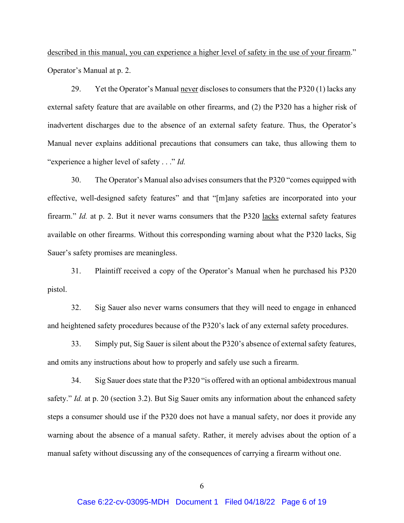described in this manual, you can experience a higher level of safety in the use of your firearm." Operator's Manual at p. 2.

29. Yet the Operator's Manual never discloses to consumers that the P320 (1) lacks any external safety feature that are available on other firearms, and (2) the P320 has a higher risk of inadvertent discharges due to the absence of an external safety feature. Thus, the Operator's Manual never explains additional precautions that consumers can take, thus allowing them to "experience a higher level of safety . . ." *Id.*

30. The Operator's Manual also advises consumers that the P320 "comes equipped with effective, well-designed safety features" and that "[m]any safeties are incorporated into your firearm." *Id.* at p. 2. But it never warns consumers that the P320 lacks external safety features available on other firearms. Without this corresponding warning about what the P320 lacks, Sig Sauer's safety promises are meaningless.

31. Plaintiff received a copy of the Operator's Manual when he purchased his P320 pistol.

32. Sig Sauer also never warns consumers that they will need to engage in enhanced and heightened safety procedures because of the P320's lack of any external safety procedures.

33. Simply put, Sig Sauer is silent about the P320's absence of external safety features, and omits any instructions about how to properly and safely use such a firearm.

34. Sig Sauer does state that the P320 "is offered with an optional ambidextrous manual safety." *Id.* at p. 20 (section 3.2). But Sig Sauer omits any information about the enhanced safety steps a consumer should use if the P320 does not have a manual safety, nor does it provide any warning about the absence of a manual safety. Rather, it merely advises about the option of a manual safety without discussing any of the consequences of carrying a firearm without one.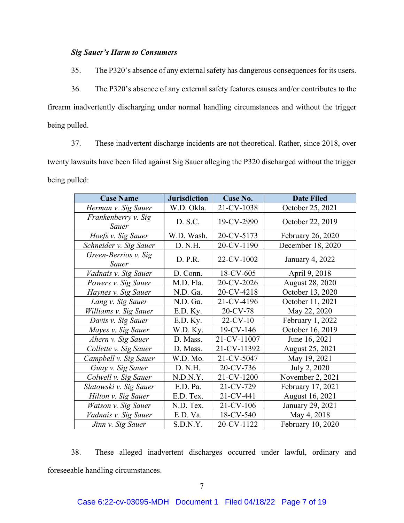## *Sig Sauer's Harm to Consumers*

35. The P320's absence of any external safety has dangerous consequences for its users.

36. The P320's absence of any external safety features causes and/or contributes to the firearm inadvertently discharging under normal handling circumstances and without the trigger being pulled.

37. These inadvertent discharge incidents are not theoretical. Rather, since 2018, over twenty lawsuits have been filed against Sig Sauer alleging the P320 discharged without the trigger being pulled:

| <b>Case Name</b>              | <b>Jurisdiction</b> | Case No.    | <b>Date Filed</b> |
|-------------------------------|---------------------|-------------|-------------------|
| Herman v. Sig Sauer           | W.D. Okla.          | 21-CV-1038  | October 25, 2021  |
| Frankenberry v. Sig<br>Sauer  | D. S.C.             | 19-CV-2990  | October 22, 2019  |
| Hoefs v. Sig Sauer            | W.D. Wash.          | 20-CV-5173  | February 26, 2020 |
| Schneider v. Sig Sauer        | D. N.H.             | 20-CV-1190  | December 18, 2020 |
| Green-Berrios v. Sig<br>Sauer | D. P.R.             | 22-CV-1002  | January 4, 2022   |
| Vadnais v. Sig Sauer          | D. Conn.            | 18-CV-605   | April 9, 2018     |
| Powers v. Sig Sauer           | M.D. Fla.           | 20-CV-2026  | August 28, 2020   |
| Haynes v. Sig Sauer           | N.D. Ga.            | 20-CV-4218  | October 13, 2020  |
| Lang v. Sig Sauer             | N.D. Ga.            | 21-CV-4196  | October 11, 2021  |
| Williams v. Sig Sauer         | E.D. Ky.            | 20-CV-78    | May 22, 2020      |
| Davis v. Sig Sauer            | E.D. Ky.            | $22$ -CV-10 | February 1, 2022  |
| Mayes v. Sig Sauer            | W.D. Ky.            | 19-CV-146   | October 16, 2019  |
| Ahern v. Sig Sauer            | D. Mass.            | 21-CV-11007 | June 16, 2021     |
| Collette v. Sig Sauer         | D. Mass.            | 21-CV-11392 | August 25, 2021   |
| Campbell v. Sig Sauer         | W.D. Mo.            | 21-CV-5047  | May 19, 2021      |
| Guay v. Sig Sauer             | D. N.H.             | 20-CV-736   | July 2, 2020      |
| Colwell v. Sig Sauer          | N.D.N.Y.            | 21-CV-1200  | November 2, 2021  |
| Slatowski v. Sig Sauer        | E.D. Pa.            | 21-CV-729   | February 17, 2021 |
| Hilton v. Sig Sauer           | E.D. Tex.           | 21-CV-441   | August 16, 2021   |
| Watson v. Sig Sauer           | N.D. Tex.           | 21-CV-106   | January 29, 2021  |
| Vadnais v. Sig Sauer          | E.D. Va.            | 18-CV-540   | May 4, 2018       |
| Jinn v. Sig Sauer             | S.D.N.Y.            | 20-CV-1122  | February 10, 2020 |

38. These alleged inadvertent discharges occurred under lawful, ordinary and foreseeable handling circumstances.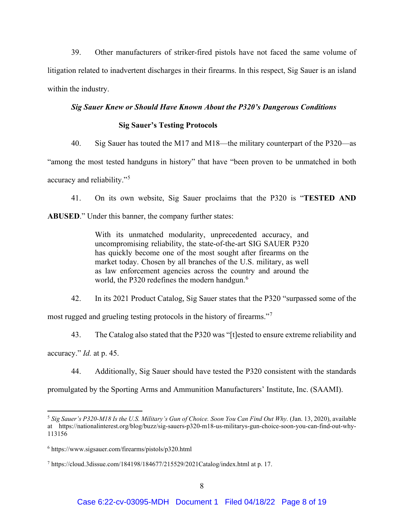39. Other manufacturers of striker-fired pistols have not faced the same volume of litigation related to inadvertent discharges in their firearms. In this respect, Sig Sauer is an island within the industry.

# *Sig Sauer Knew or Should Have Known About the P320's Dangerous Conditions*

## **Sig Sauer's Testing Protocols**

40. Sig Sauer has touted the M17 and M18—the military counterpart of the P320—as

"among the most tested handguns in history" that have "been proven to be unmatched in both accuracy and reliability."[5](#page-7-0)

41. On its own website, Sig Sauer proclaims that the P320 is "**TESTED AND** 

**ABUSED**." Under this banner, the company further states:

With its unmatched modularity, unprecedented accuracy, and uncompromising reliability, the state-of-the-art SIG SAUER P320 has quickly become one of the most sought after firearms on the market today. Chosen by all branches of the U.S. military, as well as law enforcement agencies across the country and around the world, the P320 redefines the modern handgun.<sup>[6](#page-7-1)</sup>

42. In its 2021 Product Catalog, Sig Sauer states that the P320 "surpassed some of the

most rugged and grueling testing protocols in the history of firearms."[7](#page-7-2)

43. The Catalog also stated that the P320 was "[t]ested to ensure extreme reliability and

accuracy." *Id.* at p. 45.

44. Additionally, Sig Sauer should have tested the P320 consistent with the standards

promulgated by the Sporting Arms and Ammunition Manufacturers' Institute, Inc. (SAAMI).

<span id="page-7-0"></span><sup>5</sup> *Sig Sauer's P320-M18 Is the U.S. Military's Gun of Choice. Soon You Can Find Out Why.* (Jan. 13, 2020), available at https://nationalinterest.org/blog/buzz/sig-sauers-p320-m18-us-militarys-gun-choice-soon-you-can-find-out-why-113156

<span id="page-7-1"></span><sup>6</sup> https://www.sigsauer.com/firearms/pistols/p320.html

<span id="page-7-2"></span><sup>7</sup> https://cloud.3dissue.com/184198/184677/215529/2021Catalog/index.html at p. 17.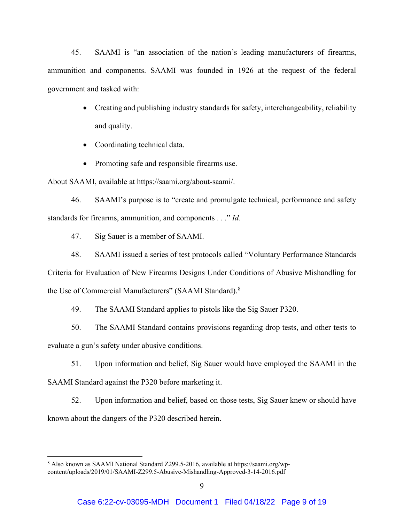45. SAAMI is "an association of the nation's leading manufacturers of firearms, ammunition and components. SAAMI was founded in 1926 at the request of the federal government and tasked with:

- Creating and publishing industry standards for safety, interchangeability, reliability and quality.
- Coordinating technical data.
- Promoting safe and responsible firearms use.

About SAAMI, available at https://saami.org/about-saami/.

46. SAAMI's purpose is to "create and promulgate technical, performance and safety standards for firearms, ammunition, and components . . ." *Id.*

47. Sig Sauer is a member of SAAMI.

48. SAAMI issued a series of test protocols called "Voluntary Performance Standards Criteria for Evaluation of New Firearms Designs Under Conditions of Abusive Mishandling for the Use of Commercial Manufacturers" (SAAMI Standard).<sup>[8](#page-8-0)</sup>

49. The SAAMI Standard applies to pistols like the Sig Sauer P320.

50. The SAAMI Standard contains provisions regarding drop tests, and other tests to evaluate a gun's safety under abusive conditions.

51. Upon information and belief, Sig Sauer would have employed the SAAMI in the SAAMI Standard against the P320 before marketing it.

52. Upon information and belief, based on those tests, Sig Sauer knew or should have known about the dangers of the P320 described herein.

<span id="page-8-0"></span><sup>8</sup> Also known as SAAMI National Standard Z299.5-2016, available at https://saami.org/wpcontent/uploads/2019/01/SAAMI-Z299.5-Abusive-Mishandling-Approved-3-14-2016.pdf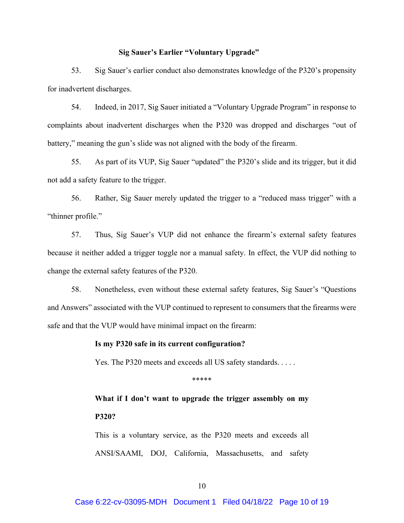### **Sig Sauer's Earlier "Voluntary Upgrade"**

53. Sig Sauer's earlier conduct also demonstrates knowledge of the P320's propensity for inadvertent discharges.

54. Indeed, in 2017, Sig Sauer initiated a "Voluntary Upgrade Program" in response to complaints about inadvertent discharges when the P320 was dropped and discharges "out of battery," meaning the gun's slide was not aligned with the body of the firearm.

55. As part of its VUP, Sig Sauer "updated" the P320's slide and its trigger, but it did not add a safety feature to the trigger.

56. Rather, Sig Sauer merely updated the trigger to a "reduced mass trigger" with a "thinner profile."

57. Thus, Sig Sauer's VUP did not enhance the firearm's external safety features because it neither added a trigger toggle nor a manual safety. In effect, the VUP did nothing to change the external safety features of the P320.

58. Nonetheless, even without these external safety features, Sig Sauer's "Questions and Answers" associated with the VUP continued to represent to consumers that the firearms were safe and that the VUP would have minimal impact on the firearm:

### **Is my P320 safe in its current configuration?**

Yes. The P320 meets and exceeds all US safety standards. . . . . .

\*\*\*\*\*

**What if I don't want to upgrade the trigger assembly on my P320?**

This is a voluntary service, as the P320 meets and exceeds all ANSI/SAAMI, DOJ, California, Massachusetts, and safety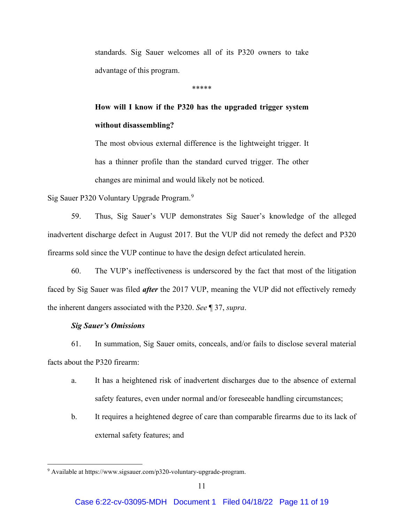standards. Sig Sauer welcomes all of its P320 owners to take advantage of this program.

\*\*\*\*\*

# **How will I know if the P320 has the upgraded trigger system without disassembling?**

The most obvious external difference is the lightweight trigger. It has a thinner profile than the standard curved trigger. The other changes are minimal and would likely not be noticed.

Sig Sauer P320 Voluntary Upgrade Program.<sup>[9](#page-10-0)</sup>

59. Thus, Sig Sauer's VUP demonstrates Sig Sauer's knowledge of the alleged inadvertent discharge defect in August 2017. But the VUP did not remedy the defect and P320 firearms sold since the VUP continue to have the design defect articulated herein.

60. The VUP's ineffectiveness is underscored by the fact that most of the litigation faced by Sig Sauer was filed *after* the 2017 VUP, meaning the VUP did not effectively remedy the inherent dangers associated with the P320. *See* ¶ 37, *supra*.

## *Sig Sauer's Omissions*

61. In summation, Sig Sauer omits, conceals, and/or fails to disclose several material facts about the P320 firearm:

- a. It has a heightened risk of inadvertent discharges due to the absence of external safety features, even under normal and/or foreseeable handling circumstances;
- b. It requires a heightened degree of care than comparable firearms due to its lack of external safety features; and

<span id="page-10-0"></span><sup>9</sup> Available at https://www.sigsauer.com/p320-voluntary-upgrade-program.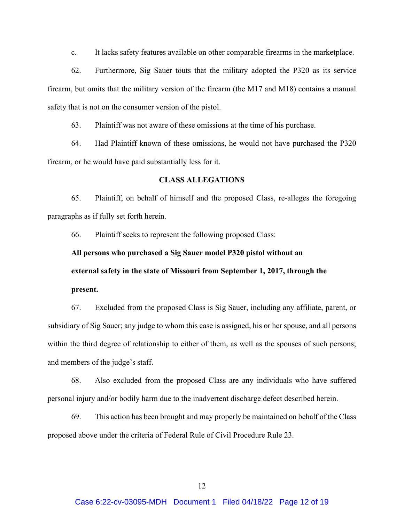c. It lacks safety features available on other comparable firearms in the marketplace.

62. Furthermore, Sig Sauer touts that the military adopted the P320 as its service firearm, but omits that the military version of the firearm (the M17 and M18) contains a manual safety that is not on the consumer version of the pistol.

63. Plaintiff was not aware of these omissions at the time of his purchase.

64. Had Plaintiff known of these omissions, he would not have purchased the P320 firearm, or he would have paid substantially less for it.

### **CLASS ALLEGATIONS**

65. Plaintiff, on behalf of himself and the proposed Class, re-alleges the foregoing paragraphs as if fully set forth herein.

66. Plaintiff seeks to represent the following proposed Class:

# **All persons who purchased a Sig Sauer model P320 pistol without an external safety in the state of Missouri from September 1, 2017, through the**

**present.**

67. Excluded from the proposed Class is Sig Sauer, including any affiliate, parent, or subsidiary of Sig Sauer; any judge to whom this case is assigned, his or her spouse, and all persons within the third degree of relationship to either of them, as well as the spouses of such persons; and members of the judge's staff.

68. Also excluded from the proposed Class are any individuals who have suffered personal injury and/or bodily harm due to the inadvertent discharge defect described herein.

69. This action has been brought and may properly be maintained on behalf of the Class proposed above under the criteria of Federal Rule of Civil Procedure Rule 23.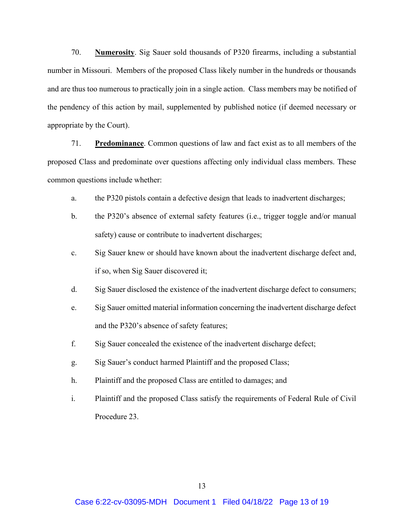70. **Numerosity**. Sig Sauer sold thousands of P320 firearms, including a substantial number in Missouri. Members of the proposed Class likely number in the hundreds or thousands and are thus too numerous to practically join in a single action. Class members may be notified of the pendency of this action by mail, supplemented by published notice (if deemed necessary or appropriate by the Court).

71. **Predominance**. Common questions of law and fact exist as to all members of the proposed Class and predominate over questions affecting only individual class members. These common questions include whether:

- a. the P320 pistols contain a defective design that leads to inadvertent discharges;
- b. the P320's absence of external safety features (i.e., trigger toggle and/or manual safety) cause or contribute to inadvertent discharges;
- c. Sig Sauer knew or should have known about the inadvertent discharge defect and, if so, when Sig Sauer discovered it;
- d. Sig Sauer disclosed the existence of the inadvertent discharge defect to consumers;
- e. Sig Sauer omitted material information concerning the inadvertent discharge defect and the P320's absence of safety features;
- f. Sig Sauer concealed the existence of the inadvertent discharge defect;
- g. Sig Sauer's conduct harmed Plaintiff and the proposed Class;
- h. Plaintiff and the proposed Class are entitled to damages; and
- i. Plaintiff and the proposed Class satisfy the requirements of Federal Rule of Civil Procedure 23.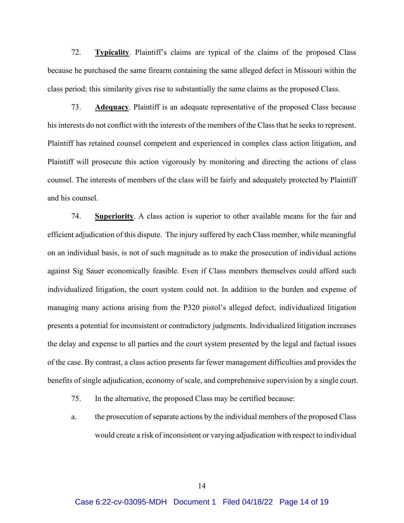72. **Typicality**. Plaintiff's claims are typical of the claims of the proposed Class because he purchased the same firearm containing the same alleged defect in Missouri within the class period; this similarity gives rise to substantially the same claims as the proposed Class.

73. **Adequacy**. Plaintiff is an adequate representative of the proposed Class because his interests do not conflict with the interests of the members of the Class that he seeks to represent. Plaintiff has retained counsel competent and experienced in complex class action litigation, and Plaintiff will prosecute this action vigorously by monitoring and directing the actions of class counsel. The interests of members of the class will be fairly and adequately protected by Plaintiff and his counsel.

74. **Superiority**. A class action is superior to other available means for the fair and efficient adjudication of this dispute. The injury suffered by each Class member, while meaningful on an individual basis, is not of such magnitude as to make the prosecution of individual actions against Sig Sauer economically feasible. Even if Class members themselves could afford such individualized litigation, the court system could not. In addition to the burden and expense of managing many actions arising from the P320 pistol's alleged defect, individualized litigation presents a potential for inconsistent or contradictory judgments. Individualized litigation increases the delay and expense to all parties and the court system presented by the legal and factual issues of the case. By contrast, a class action presents far fewer management difficulties and provides the benefits of single adjudication, economy of scale, and comprehensive supervision by a single court.

- 75. In the alternative, the proposed Class may be certified because:
- a. the prosecution of separate actions by the individual members of the proposed Class would create a risk of inconsistent or varying adjudication with respect to individual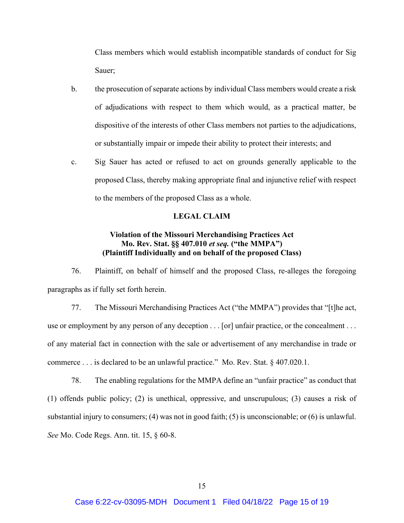Class members which would establish incompatible standards of conduct for Sig Sauer;

- b. the prosecution of separate actions by individual Class members would create a risk of adjudications with respect to them which would, as a practical matter, be dispositive of the interests of other Class members not parties to the adjudications, or substantially impair or impede their ability to protect their interests; and
- c. Sig Sauer has acted or refused to act on grounds generally applicable to the proposed Class, thereby making appropriate final and injunctive relief with respect to the members of the proposed Class as a whole.

### **LEGAL CLAIM**

# **Violation of the Missouri Merchandising Practices Act Mo. Rev. Stat. §§ 407.010** *et seq.* **("the MMPA") (Plaintiff Individually and on behalf of the proposed Class)**

76. Plaintiff, on behalf of himself and the proposed Class, re-alleges the foregoing paragraphs as if fully set forth herein.

77. The Missouri Merchandising Practices Act ("the MMPA") provides that "[t]he act, use or employment by any person of any deception . . . [or] unfair practice, or the concealment . . . of any material fact in connection with the sale or advertisement of any merchandise in trade or commerce . . . is declared to be an unlawful practice." Mo. Rev. Stat. § 407.020.1.

78. The enabling regulations for the MMPA define an "unfair practice" as conduct that (1) offends public policy; (2) is unethical, oppressive, and unscrupulous; (3) causes a risk of substantial injury to consumers; (4) was not in good faith; (5) is unconscionable; or (6) is unlawful. *See* Mo. Code Regs. Ann. tit. 15, § 60-8.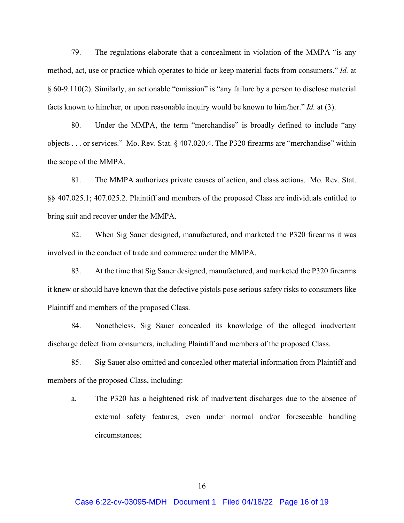79. The regulations elaborate that a concealment in violation of the MMPA "is any method, act, use or practice which operates to hide or keep material facts from consumers." *Id.* at § 60-9.110(2). Similarly, an actionable "omission" is "any failure by a person to disclose material facts known to him/her, or upon reasonable inquiry would be known to him/her." *Id.* at (3).

80. Under the MMPA, the term "merchandise" is broadly defined to include "any objects . . . or services." Mo. Rev. Stat. § 407.020.4. The P320 firearms are "merchandise" within the scope of the MMPA.

81. The MMPA authorizes private causes of action, and class actions. Mo. Rev. Stat. §§ 407.025.1; 407.025.2. Plaintiff and members of the proposed Class are individuals entitled to bring suit and recover under the MMPA.

82. When Sig Sauer designed, manufactured, and marketed the P320 firearms it was involved in the conduct of trade and commerce under the MMPA.

83. At the time that Sig Sauer designed, manufactured, and marketed the P320 firearms it knew or should have known that the defective pistols pose serious safety risks to consumers like Plaintiff and members of the proposed Class.

84. Nonetheless, Sig Sauer concealed its knowledge of the alleged inadvertent discharge defect from consumers, including Plaintiff and members of the proposed Class.

85. Sig Sauer also omitted and concealed other material information from Plaintiff and members of the proposed Class, including:

a. The P320 has a heightened risk of inadvertent discharges due to the absence of external safety features, even under normal and/or foreseeable handling circumstances;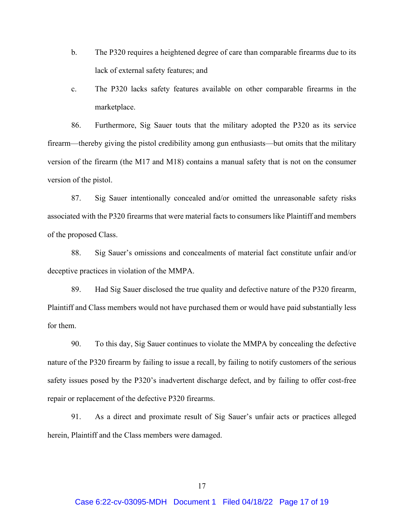- b. The P320 requires a heightened degree of care than comparable firearms due to its lack of external safety features; and
- c. The P320 lacks safety features available on other comparable firearms in the marketplace.

86. Furthermore, Sig Sauer touts that the military adopted the P320 as its service firearm—thereby giving the pistol credibility among gun enthusiasts—but omits that the military version of the firearm (the M17 and M18) contains a manual safety that is not on the consumer version of the pistol.

87. Sig Sauer intentionally concealed and/or omitted the unreasonable safety risks associated with the P320 firearms that were material facts to consumers like Plaintiff and members of the proposed Class.

88. Sig Sauer's omissions and concealments of material fact constitute unfair and/or deceptive practices in violation of the MMPA.

89. Had Sig Sauer disclosed the true quality and defective nature of the P320 firearm, Plaintiff and Class members would not have purchased them or would have paid substantially less for them.

90. To this day, Sig Sauer continues to violate the MMPA by concealing the defective nature of the P320 firearm by failing to issue a recall, by failing to notify customers of the serious safety issues posed by the P320's inadvertent discharge defect, and by failing to offer cost-free repair or replacement of the defective P320 firearms.

91. As a direct and proximate result of Sig Sauer's unfair acts or practices alleged herein, Plaintiff and the Class members were damaged.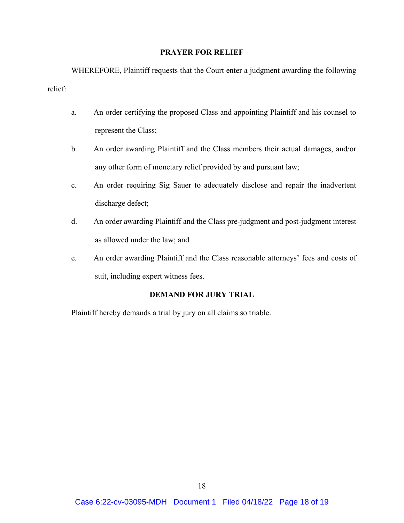# **PRAYER FOR RELIEF**

WHEREFORE, Plaintiff requests that the Court enter a judgment awarding the following relief:

- a. An order certifying the proposed Class and appointing Plaintiff and his counsel to represent the Class;
- b. An order awarding Plaintiff and the Class members their actual damages, and/or any other form of monetary relief provided by and pursuant law;
- c. An order requiring Sig Sauer to adequately disclose and repair the inadvertent discharge defect;
- d. An order awarding Plaintiff and the Class pre-judgment and post-judgment interest as allowed under the law; and
- e. An order awarding Plaintiff and the Class reasonable attorneys' fees and costs of suit, including expert witness fees.

# **DEMAND FOR JURY TRIAL**

Plaintiff hereby demands a trial by jury on all claims so triable.